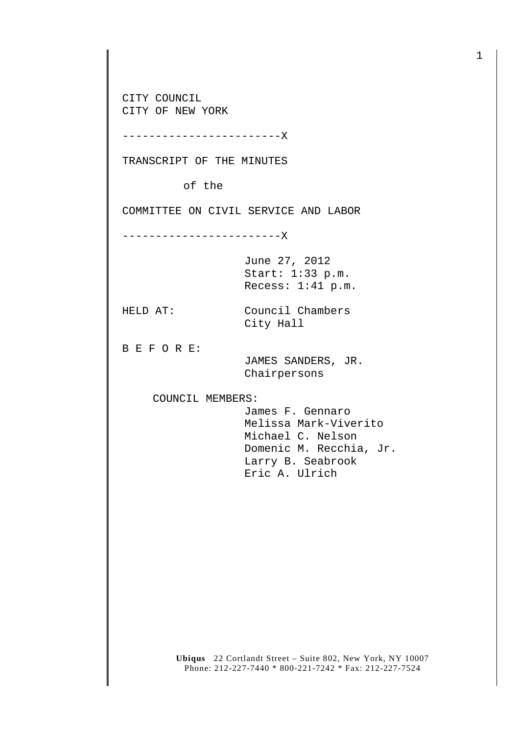CITY COUNCIL CITY OF NEW YORK

------------------------X

TRANSCRIPT OF THE MINUTES

of the

COMMITTEE ON CIVIL SERVICE AND LABOR

------------------------X

June 27, 2012 Start: 1:33 p.m. Recess: 1:41 p.m.

HELD AT: Council Chambers City Hall

B E F O R E:

 JAMES SANDERS, JR. Chairpersons

COUNCIL MEMBERS:

 James F. Gennaro Melissa Mark-Viverito Michael C. Nelson Domenic M. Recchia, Jr. Larry B. Seabrook Eric A. Ulrich

**Ubiqus** 22 Cortlandt Street – Suite 802, New York, NY 10007 Phone: 212-227-7440 \* 800-221-7242 \* Fax: 212-227-7524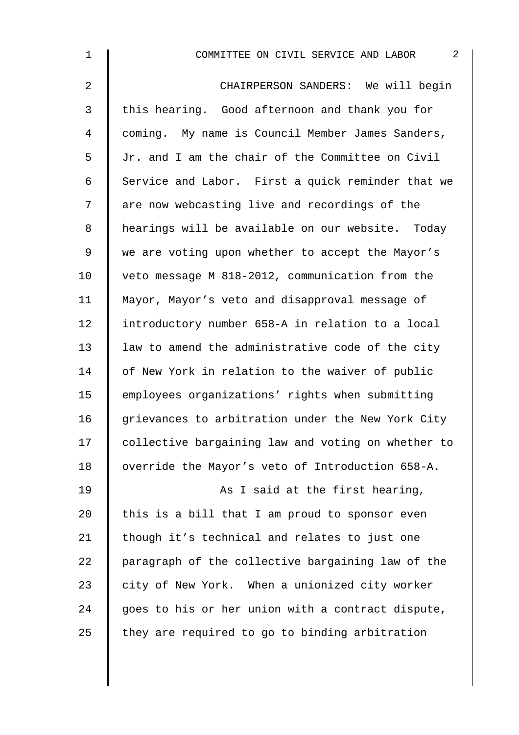| $\mathbf 1$ | $\sqrt{2}$<br>COMMITTEE ON CIVIL SERVICE AND LABOR |
|-------------|----------------------------------------------------|
| 2           | CHAIRPERSON SANDERS: We will begin                 |
| 3           | this hearing. Good afternoon and thank you for     |
| 4           | coming. My name is Council Member James Sanders,   |
| 5           | Jr. and I am the chair of the Committee on Civil   |
| 6           | Service and Labor. First a quick reminder that we  |
| 7           | are now webcasting live and recordings of the      |
| 8           | hearings will be available on our website. Today   |
| $\mathsf 9$ | we are voting upon whether to accept the Mayor's   |
| 10          | veto message M 818-2012, communication from the    |
| 11          | Mayor, Mayor's veto and disapproval message of     |
| 12          | introductory number 658-A in relation to a local   |
| 13          | law to amend the administrative code of the city   |
| 14          | of New York in relation to the waiver of public    |
| 15          | employees organizations' rights when submitting    |
| 16          | grievances to arbitration under the New York City  |
| 17          | collective bargaining law and voting on whether to |
| 18          | override the Mayor's veto of Introduction 658-A.   |
| 19          | As I said at the first hearing,                    |
| 20          | this is a bill that I am proud to sponsor even     |
| 21          | though it's technical and relates to just one      |
| 22          | paragraph of the collective bargaining law of the  |
| 23          | city of New York. When a unionized city worker     |
| 24          | goes to his or her union with a contract dispute,  |
| 25          | they are required to go to binding arbitration     |
|             |                                                    |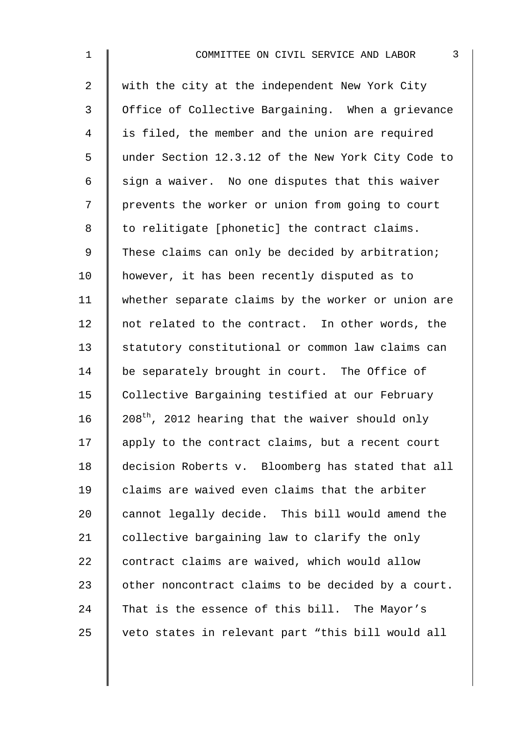| $\mathbf{1}$   | $\mathfrak{Z}$<br>COMMITTEE ON CIVIL SERVICE AND LABOR       |
|----------------|--------------------------------------------------------------|
| 2              | with the city at the independent New York City               |
| 3              | Office of Collective Bargaining. When a grievance            |
| $\overline{4}$ | is filed, the member and the union are required              |
| 5              | under Section 12.3.12 of the New York City Code to           |
| 6              | sign a waiver. No one disputes that this waiver              |
| 7              | prevents the worker or union from going to court             |
| 8              | to relitigate [phonetic] the contract claims.                |
| 9              | These claims can only be decided by arbitration;             |
| 10             | however, it has been recently disputed as to                 |
| 11             | whether separate claims by the worker or union are           |
| 12             | not related to the contract. In other words, the             |
| 13             | statutory constitutional or common law claims can            |
| 14             | be separately brought in court. The Office of                |
| 15             | Collective Bargaining testified at our February              |
| 16             | 208 <sup>th</sup> , 2012 hearing that the waiver should only |
| 17             | apply to the contract claims, but a recent court             |
| 18             | decision Roberts v. Bloomberg has stated that all            |
| 19             | claims are waived even claims that the arbiter               |
| 20             | cannot legally decide. This bill would amend the             |
| 21             | collective bargaining law to clarify the only                |
| 22             | contract claims are waived, which would allow                |
| 23             | other noncontract claims to be decided by a court.           |
| 24             | That is the essence of this bill. The Mayor's                |
| 25             | veto states in relevant part "this bill would all            |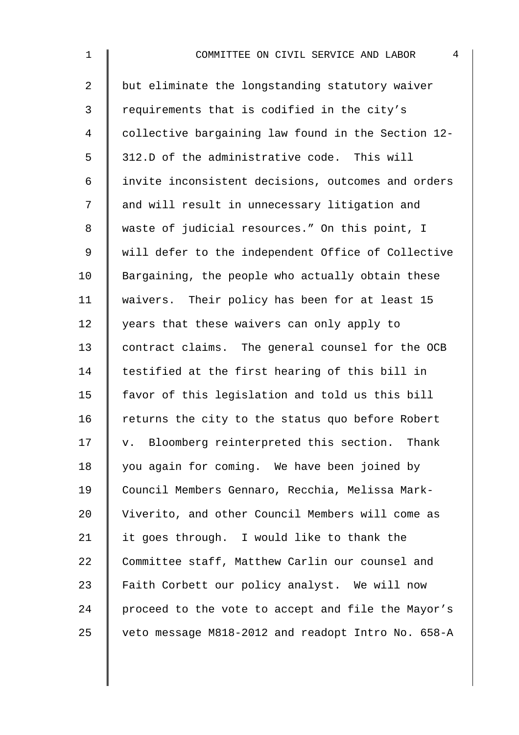| $\mathbf 1$    | 4<br>COMMITTEE ON CIVIL SERVICE AND LABOR          |
|----------------|----------------------------------------------------|
| $\overline{2}$ | but eliminate the longstanding statutory waiver    |
| $\mathfrak{Z}$ | requirements that is codified in the city's        |
| 4              | collective bargaining law found in the Section 12- |
| 5              | 312.D of the administrative code. This will        |
| 6              | invite inconsistent decisions, outcomes and orders |
| 7              | and will result in unnecessary litigation and      |
| 8              | waste of judicial resources." On this point, I     |
| 9              | will defer to the independent Office of Collective |
| 10             | Bargaining, the people who actually obtain these   |
| 11             | waivers. Their policy has been for at least 15     |
| 12             | years that these waivers can only apply to         |
| 13             | contract claims. The general counsel for the OCB   |
| 14             | testified at the first hearing of this bill in     |
| 15             | favor of this legislation and told us this bill    |
| 16             | returns the city to the status quo before Robert   |
| 17             | v. Bloomberg reinterpreted this section. Thank     |
| 18             | you again for coming. We have been joined by       |
| 19             | Council Members Gennaro, Recchia, Melissa Mark-    |
| 20             | Viverito, and other Council Members will come as   |
| 21             | it goes through. I would like to thank the         |
| 22             | Committee staff, Matthew Carlin our counsel and    |
| 23             | Faith Corbett our policy analyst. We will now      |
| 24             | proceed to the vote to accept and file the Mayor's |
| 25             | veto message M818-2012 and readopt Intro No. 658-A |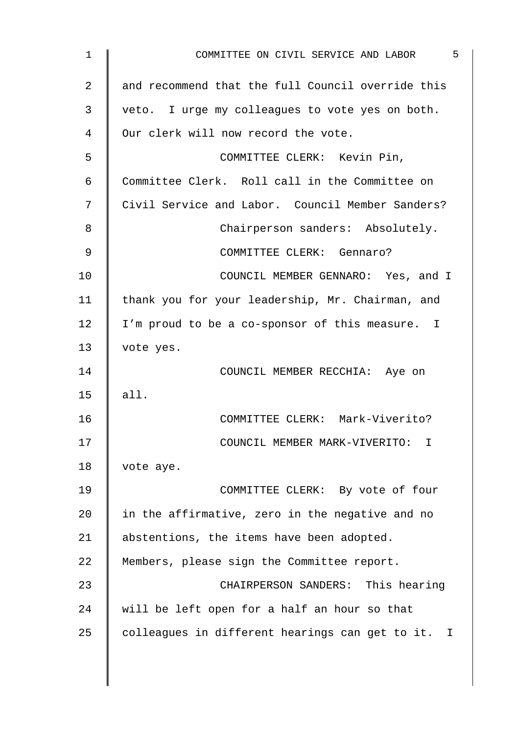| 5<br>COMMITTEE ON CIVIL SERVICE AND LABOR         |
|---------------------------------------------------|
| and recommend that the full Council override this |
| veto. I urge my colleagues to vote yes on both.   |
| Our clerk will now record the vote.               |
| COMMITTEE CLERK: Kevin Pin,                       |
| Committee Clerk. Roll call in the Committee on    |
| Civil Service and Labor. Council Member Sanders?  |
| Chairperson sanders: Absolutely.                  |
| COMMITTEE CLERK: Gennaro?                         |
| COUNCIL MEMBER GENNARO: Yes, and I                |
| thank you for your leadership, Mr. Chairman, and  |
| I'm proud to be a co-sponsor of this measure. I   |
| vote yes.                                         |
| COUNCIL MEMBER RECCHIA: Aye on                    |
| all.                                              |
| COMMITTEE CLERK: Mark-Viverito?                   |
| COUNCIL MEMBER MARK-VIVERITO:<br>$\mathbf{I}$     |
| vote aye.                                         |
| COMMITTEE CLERK: By vote of four                  |
| in the affirmative, zero in the negative and no   |
| abstentions, the items have been adopted.         |
| Members, please sign the Committee report.        |
| CHAIRPERSON SANDERS: This hearing                 |
| will be left open for a half an hour so that      |
| colleagues in different hearings can get to it. I |
|                                                   |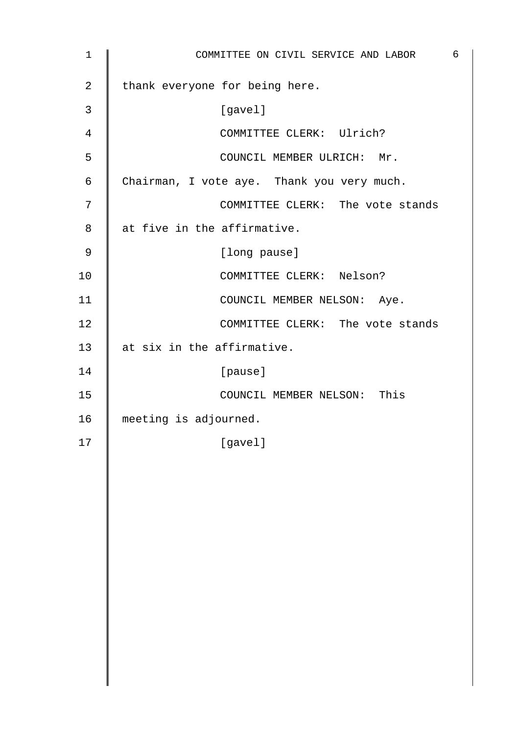| $\mathbf{1}$   | COMMITTEE ON CIVIL SERVICE AND LABOR       | 6 |
|----------------|--------------------------------------------|---|
| $\overline{2}$ | thank everyone for being here.             |   |
| $\mathfrak{Z}$ | [gavel]                                    |   |
| $\overline{4}$ | COMMITTEE CLERK: Ulrich?                   |   |
| 5              | COUNCIL MEMBER ULRICH: Mr.                 |   |
| 6              | Chairman, I vote aye. Thank you very much. |   |
| 7              | COMMITTEE CLERK: The vote stands           |   |
| 8              | at five in the affirmative.                |   |
| 9              | [long pause]                               |   |
| 10             | COMMITTEE CLERK: Nelson?                   |   |
| 11             | COUNCIL MEMBER NELSON: Aye.                |   |
| 12             | COMMITTEE CLERK: The vote stands           |   |
| 13             | at six in the affirmative.                 |   |
| 14             | [pause]                                    |   |
| 15             | COUNCIL MEMBER NELSON: This                |   |
| 16             | meeting is adjourned.                      |   |
| 17             | [gavel]                                    |   |
|                |                                            |   |
|                |                                            |   |
|                |                                            |   |
|                |                                            |   |
|                |                                            |   |
|                |                                            |   |
|                |                                            |   |
|                |                                            |   |